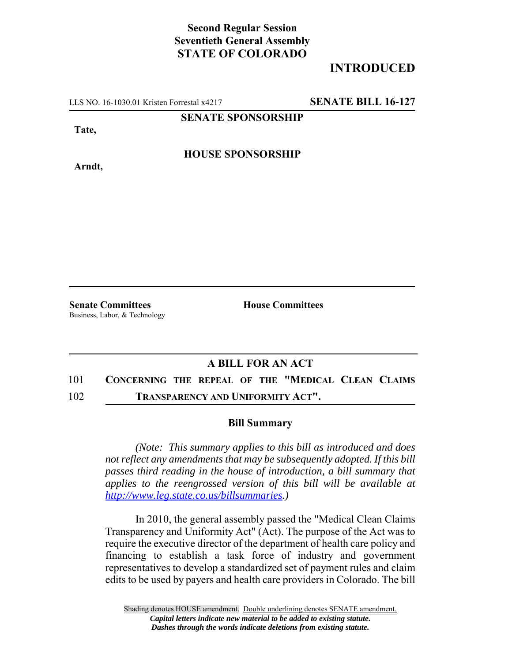## **Second Regular Session Seventieth General Assembly STATE OF COLORADO**

# **INTRODUCED**

LLS NO. 16-1030.01 Kristen Forrestal x4217 **SENATE BILL 16-127**

#### **SENATE SPONSORSHIP**

**Tate,**

**Arndt,**

**HOUSE SPONSORSHIP**

**Senate Committees House Committees** Business, Labor, & Technology

### **A BILL FOR AN ACT**

### 101 **CONCERNING THE REPEAL OF THE "MEDICAL CLEAN CLAIMS**

102 **TRANSPARENCY AND UNIFORMITY ACT".**

#### **Bill Summary**

*(Note: This summary applies to this bill as introduced and does not reflect any amendments that may be subsequently adopted. If this bill passes third reading in the house of introduction, a bill summary that applies to the reengrossed version of this bill will be available at http://www.leg.state.co.us/billsummaries.)*

In 2010, the general assembly passed the "Medical Clean Claims Transparency and Uniformity Act" (Act). The purpose of the Act was to require the executive director of the department of health care policy and financing to establish a task force of industry and government representatives to develop a standardized set of payment rules and claim edits to be used by payers and health care providers in Colorado. The bill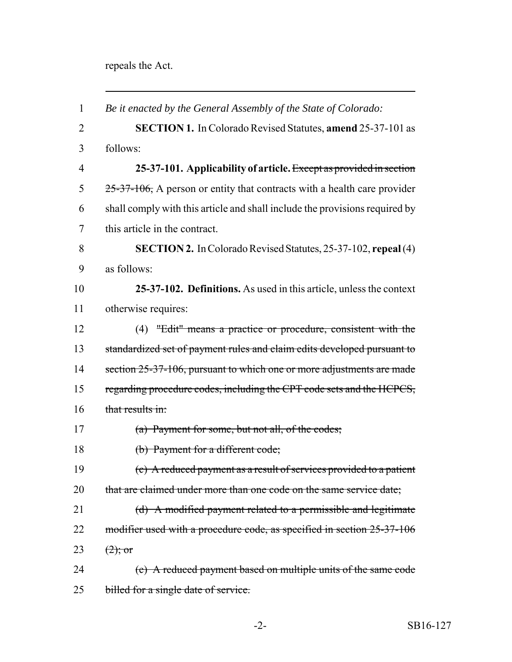repeals the Act.

| $\mathbf{1}$   | Be it enacted by the General Assembly of the State of Colorado:             |
|----------------|-----------------------------------------------------------------------------|
| $\overline{2}$ | <b>SECTION 1.</b> In Colorado Revised Statutes, <b>amend</b> 25-37-101 as   |
| 3              | follows:                                                                    |
| $\overline{4}$ | 25-37-101. Applicability of article. Except as provided in section          |
| 5              | $25-37-106$ , A person or entity that contracts with a health care provider |
| 6              | shall comply with this article and shall include the provisions required by |
| 7              | this article in the contract.                                               |
| 8              | <b>SECTION 2.</b> In Colorado Revised Statutes, 25-37-102, repeal (4)       |
| 9              | as follows:                                                                 |
| 10             | 25-37-102. Definitions. As used in this article, unless the context         |
| 11             | otherwise requires:                                                         |
| 12             | (4) "Edit" means a practice or procedure, consistent with the               |
| 13             | standardized set of payment rules and claim edits developed pursuant to     |
| 14             | section 25-37-106, pursuant to which one or more adjustments are made       |
| 15             | regarding procedure codes, including the CPT code sets and the HCPCS,       |
| 16             | that results in:                                                            |
| 17             | $(a)$ Payment for some, but not all, of the codes;                          |
| 18             | (b) Payment for a different code;                                           |
| 19             | (c) A reduced payment as a result of services provided to a patient         |
| 20             | that are claimed under more than one code on the same service date;         |
| 21             | (d) A modified payment related to a permissible and legitimate              |
| 22             | modifier used with a procedure code, as specified in section 25-37-106      |
| 23             | $(2)$ ; or                                                                  |
| 24             | (e) A reduced payment based on multiple units of the same code              |
| 25             | billed for a single date of service.                                        |